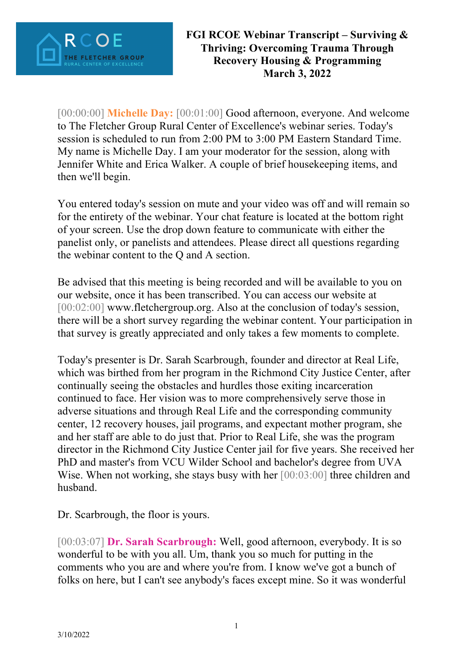

[00:00:00] **Michelle Day:** [00:01:00] Good afternoon, everyone. And welcome to The Fletcher Group Rural Center of Excellence's webinar series. Today's session is scheduled to run from 2:00 PM to 3:00 PM Eastern Standard Time. My name is Michelle Day. I am your moderator for the session, along with Jennifer White and Erica Walker. A couple of brief housekeeping items, and then we'll begin.

You entered today's session on mute and your video was off and will remain so for the entirety of the webinar. Your chat feature is located at the bottom right of your screen. Use the drop down feature to communicate with either the panelist only, or panelists and attendees. Please direct all questions regarding the webinar content to the Q and A section.

Be advised that this meeting is being recorded and will be available to you on our website, once it has been transcribed. You can access our website at [00:02:00] www.fletchergroup.org. Also at the conclusion of today's session, there will be a short survey regarding the webinar content. Your participation in that survey is greatly appreciated and only takes a few moments to complete.

Today's presenter is Dr. Sarah Scarbrough, founder and director at Real Life, which was birthed from her program in the Richmond City Justice Center, after continually seeing the obstacles and hurdles those exiting incarceration continued to face. Her vision was to more comprehensively serve those in adverse situations and through Real Life and the corresponding community center, 12 recovery houses, jail programs, and expectant mother program, she and her staff are able to do just that. Prior to Real Life, she was the program director in the Richmond City Justice Center jail for five years. She received her PhD and master's from VCU Wilder School and bachelor's degree from UVA Wise. When not working, she stays busy with her [00:03:00] three children and husband.

Dr. Scarbrough, the floor is yours.

[00:03:07] **Dr. Sarah Scarbrough:** Well, good afternoon, everybody. It is so wonderful to be with you all. Um, thank you so much for putting in the comments who you are and where you're from. I know we've got a bunch of folks on here, but I can't see anybody's faces except mine. So it was wonderful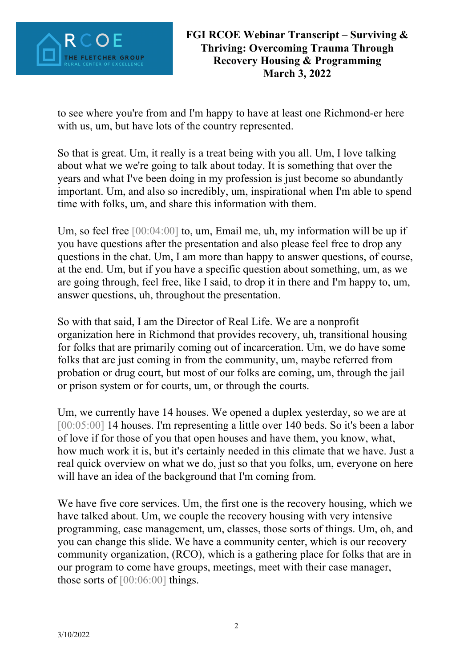

to see where you're from and I'm happy to have at least one Richmond-er here with us, um, but have lots of the country represented.

So that is great. Um, it really is a treat being with you all. Um, I love talking about what we we're going to talk about today. It is something that over the years and what I've been doing in my profession is just become so abundantly important. Um, and also so incredibly, um, inspirational when I'm able to spend time with folks, um, and share this information with them.

Um, so feel free [00:04:00] to, um, Email me, uh, my information will be up if you have questions after the presentation and also please feel free to drop any questions in the chat. Um, I am more than happy to answer questions, of course, at the end. Um, but if you have a specific question about something, um, as we are going through, feel free, like I said, to drop it in there and I'm happy to, um, answer questions, uh, throughout the presentation.

So with that said, I am the Director of Real Life. We are a nonprofit organization here in Richmond that provides recovery, uh, transitional housing for folks that are primarily coming out of incarceration. Um, we do have some folks that are just coming in from the community, um, maybe referred from probation or drug court, but most of our folks are coming, um, through the jail or prison system or for courts, um, or through the courts.

Um, we currently have 14 houses. We opened a duplex yesterday, so we are at [00:05:00] 14 houses. I'm representing a little over 140 beds. So it's been a labor of love if for those of you that open houses and have them, you know, what, how much work it is, but it's certainly needed in this climate that we have. Just a real quick overview on what we do, just so that you folks, um, everyone on here will have an idea of the background that I'm coming from.

We have five core services. Um, the first one is the recovery housing, which we have talked about. Um, we couple the recovery housing with very intensive programming, case management, um, classes, those sorts of things. Um, oh, and you can change this slide. We have a community center, which is our recovery community organization, (RCO), which is a gathering place for folks that are in our program to come have groups, meetings, meet with their case manager, those sorts of [00:06:00] things.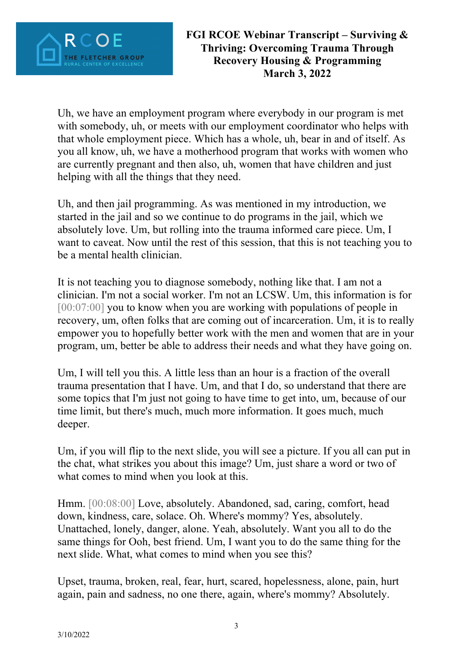

Uh, we have an employment program where everybody in our program is met with somebody, uh, or meets with our employment coordinator who helps with that whole employment piece. Which has a whole, uh, bear in and of itself. As you all know, uh, we have a motherhood program that works with women who are currently pregnant and then also, uh, women that have children and just helping with all the things that they need.

Uh, and then jail programming. As was mentioned in my introduction, we started in the jail and so we continue to do programs in the jail, which we absolutely love. Um, but rolling into the trauma informed care piece. Um, I want to caveat. Now until the rest of this session, that this is not teaching you to be a mental health clinician.

It is not teaching you to diagnose somebody, nothing like that. I am not a clinician. I'm not a social worker. I'm not an LCSW. Um, this information is for  $[00:07:00]$  you to know when you are working with populations of people in recovery, um, often folks that are coming out of incarceration. Um, it is to really empower you to hopefully better work with the men and women that are in your program, um, better be able to address their needs and what they have going on.

Um, I will tell you this. A little less than an hour is a fraction of the overall trauma presentation that I have. Um, and that I do, so understand that there are some topics that I'm just not going to have time to get into, um, because of our time limit, but there's much, much more information. It goes much, much deeper.

Um, if you will flip to the next slide, you will see a picture. If you all can put in the chat, what strikes you about this image? Um, just share a word or two of what comes to mind when you look at this.

Hmm. [00:08:00] Love, absolutely. Abandoned, sad, caring, comfort, head down, kindness, care, solace. Oh. Where's mommy? Yes, absolutely. Unattached, lonely, danger, alone. Yeah, absolutely. Want you all to do the same things for Ooh, best friend. Um, I want you to do the same thing for the next slide. What, what comes to mind when you see this?

Upset, trauma, broken, real, fear, hurt, scared, hopelessness, alone, pain, hurt again, pain and sadness, no one there, again, where's mommy? Absolutely.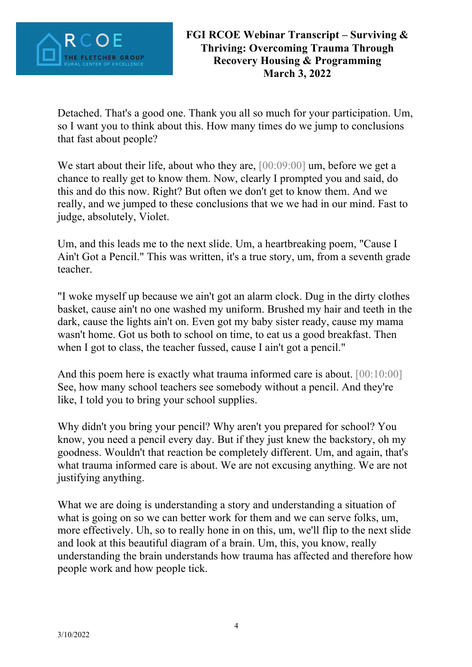

Detached. That's a good one. Thank you all so much for your participation. Um, so I want you to think about this. How many times do we jump to conclusions that fast about people?

We start about their life, about who they are,  $[00:09:00]$  um, before we get a chance to really get to know them. Now, clearly I prompted you and said, do this and do this now. Right? But often we don't get to know them. And we really, and we jumped to these conclusions that we we had in our mind. Fast to judge, absolutely, Violet.

Um, and this leads me to the next slide. Um, a heartbreaking poem, "Cause I Ain't Got a Pencil." This was written, it's a true story, um, from a seventh grade teacher.

"I woke myself up because we ain't got an alarm clock. Dug in the dirty clothes basket, cause ain't no one washed my uniform. Brushed my hair and teeth in the dark, cause the lights ain't on. Even got my baby sister ready, cause my mama wasn't home. Got us both to school on time, to eat us a good breakfast. Then when I got to class, the teacher fussed, cause I ain't got a pencil."

And this poem here is exactly what trauma informed care is about. [00:10:00] See, how many school teachers see somebody without a pencil. And they're like, I told you to bring your school supplies.

Why didn't you bring your pencil? Why aren't you prepared for school? You know, you need a pencil every day. But if they just knew the backstory, oh my goodness. Wouldn't that reaction be completely different. Um, and again, that's what trauma informed care is about. We are not excusing anything. We are not justifying anything.

What we are doing is understanding a story and understanding a situation of what is going on so we can better work for them and we can serve folks, um. more effectively. Uh, so to really hone in on this, um, we'll flip to the next slide and look at this beautiful diagram of a brain. Um, this, you know, really understanding the brain understands how trauma has affected and therefore how people work and how people tick.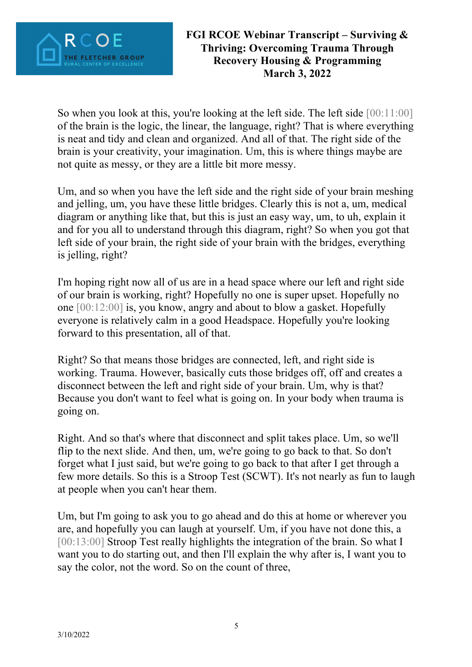

So when you look at this, you're looking at the left side. The left side [00:11:00] of the brain is the logic, the linear, the language, right? That is where everything is neat and tidy and clean and organized. And all of that. The right side of the brain is your creativity, your imagination. Um, this is where things maybe are not quite as messy, or they are a little bit more messy.

Um, and so when you have the left side and the right side of your brain meshing and jelling, um, you have these little bridges. Clearly this is not a, um, medical diagram or anything like that, but this is just an easy way, um, to uh, explain it and for you all to understand through this diagram, right? So when you got that left side of your brain, the right side of your brain with the bridges, everything is jelling, right?

I'm hoping right now all of us are in a head space where our left and right side of our brain is working, right? Hopefully no one is super upset. Hopefully no one [00:12:00] is, you know, angry and about to blow a gasket. Hopefully everyone is relatively calm in a good Headspace. Hopefully you're looking forward to this presentation, all of that.

Right? So that means those bridges are connected, left, and right side is working. Trauma. However, basically cuts those bridges off, off and creates a disconnect between the left and right side of your brain. Um, why is that? Because you don't want to feel what is going on. In your body when trauma is going on.

Right. And so that's where that disconnect and split takes place. Um, so we'll flip to the next slide. And then, um, we're going to go back to that. So don't forget what I just said, but we're going to go back to that after I get through a few more details. So this is a Stroop Test (SCWT). It's not nearly as fun to laugh at people when you can't hear them.

Um, but I'm going to ask you to go ahead and do this at home or wherever you are, and hopefully you can laugh at yourself. Um, if you have not done this, a [00:13:00] Stroop Test really highlights the integration of the brain. So what I want you to do starting out, and then I'll explain the why after is, I want you to say the color, not the word. So on the count of three,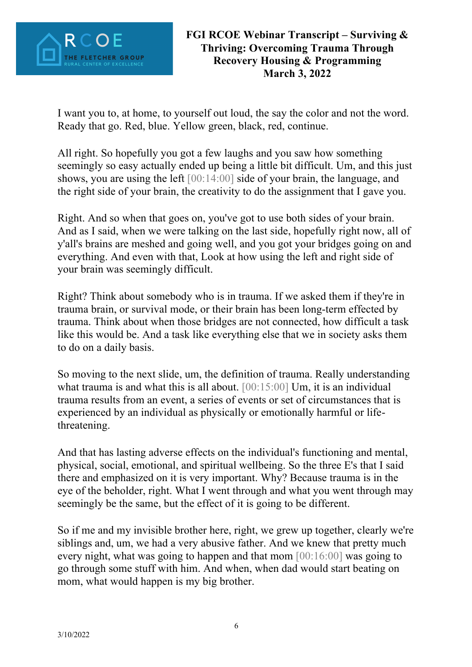

I want you to, at home, to yourself out loud, the say the color and not the word. Ready that go. Red, blue. Yellow green, black, red, continue.

All right. So hopefully you got a few laughs and you saw how something seemingly so easy actually ended up being a little bit difficult. Um, and this just shows, you are using the left [00:14:00] side of your brain, the language, and the right side of your brain, the creativity to do the assignment that I gave you.

Right. And so when that goes on, you've got to use both sides of your brain. And as I said, when we were talking on the last side, hopefully right now, all of y'all's brains are meshed and going well, and you got your bridges going on and everything. And even with that, Look at how using the left and right side of your brain was seemingly difficult.

Right? Think about somebody who is in trauma. If we asked them if they're in trauma brain, or survival mode, or their brain has been long-term effected by trauma. Think about when those bridges are not connected, how difficult a task like this would be. And a task like everything else that we in society asks them to do on a daily basis.

So moving to the next slide, um, the definition of trauma. Really understanding what trauma is and what this is all about. [00:15:00] Um, it is an individual trauma results from an event, a series of events or set of circumstances that is experienced by an individual as physically or emotionally harmful or lifethreatening.

And that has lasting adverse effects on the individual's functioning and mental, physical, social, emotional, and spiritual wellbeing. So the three E's that I said there and emphasized on it is very important. Why? Because trauma is in the eye of the beholder, right. What I went through and what you went through may seemingly be the same, but the effect of it is going to be different.

So if me and my invisible brother here, right, we grew up together, clearly we're siblings and, um, we had a very abusive father. And we knew that pretty much every night, what was going to happen and that mom [00:16:00] was going to go through some stuff with him. And when, when dad would start beating on mom, what would happen is my big brother.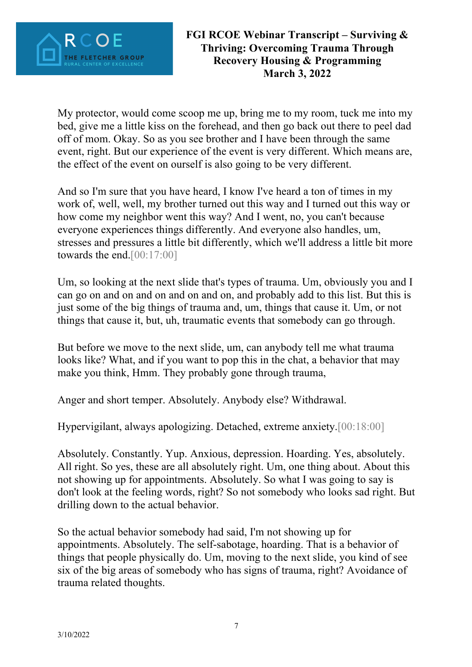

My protector, would come scoop me up, bring me to my room, tuck me into my bed, give me a little kiss on the forehead, and then go back out there to peel dad off of mom. Okay. So as you see brother and I have been through the same event, right. But our experience of the event is very different. Which means are, the effect of the event on ourself is also going to be very different.

And so I'm sure that you have heard, I know I've heard a ton of times in my work of, well, well, my brother turned out this way and I turned out this way or how come my neighbor went this way? And I went, no, you can't because everyone experiences things differently. And everyone also handles, um, stresses and pressures a little bit differently, which we'll address a little bit more towards the end.[00:17:00]

Um, so looking at the next slide that's types of trauma. Um, obviously you and I can go on and on and on and on and on, and probably add to this list. But this is just some of the big things of trauma and, um, things that cause it. Um, or not things that cause it, but, uh, traumatic events that somebody can go through.

But before we move to the next slide, um, can anybody tell me what trauma looks like? What, and if you want to pop this in the chat, a behavior that may make you think, Hmm. They probably gone through trauma,

Anger and short temper. Absolutely. Anybody else? Withdrawal.

Hypervigilant, always apologizing. Detached, extreme anxiety.[00:18:00]

Absolutely. Constantly. Yup. Anxious, depression. Hoarding. Yes, absolutely. All right. So yes, these are all absolutely right. Um, one thing about. About this not showing up for appointments. Absolutely. So what I was going to say is don't look at the feeling words, right? So not somebody who looks sad right. But drilling down to the actual behavior.

So the actual behavior somebody had said, I'm not showing up for appointments. Absolutely. The self-sabotage, hoarding. That is a behavior of things that people physically do. Um, moving to the next slide, you kind of see six of the big areas of somebody who has signs of trauma, right? Avoidance of trauma related thoughts.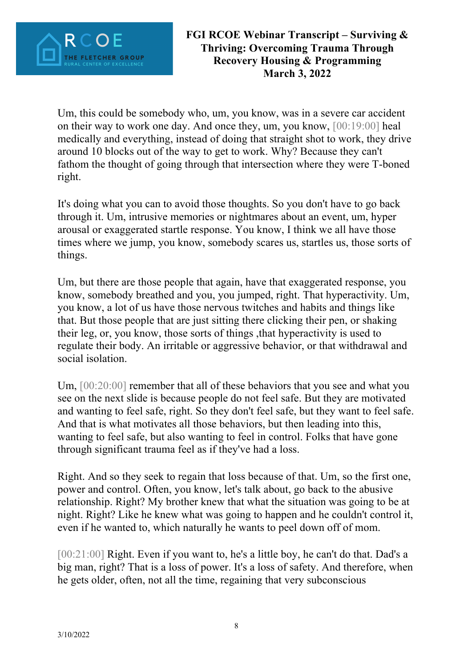

Um, this could be somebody who, um, you know, was in a severe car accident on their way to work one day. And once they, um, you know, [00:19:00] heal medically and everything, instead of doing that straight shot to work, they drive around 10 blocks out of the way to get to work. Why? Because they can't fathom the thought of going through that intersection where they were T-boned right.

It's doing what you can to avoid those thoughts. So you don't have to go back through it. Um, intrusive memories or nightmares about an event, um, hyper arousal or exaggerated startle response. You know, I think we all have those times where we jump, you know, somebody scares us, startles us, those sorts of things.

Um, but there are those people that again, have that exaggerated response, you know, somebody breathed and you, you jumped, right. That hyperactivity. Um, you know, a lot of us have those nervous twitches and habits and things like that. But those people that are just sitting there clicking their pen, or shaking their leg, or, you know, those sorts of things ,that hyperactivity is used to regulate their body. An irritable or aggressive behavior, or that withdrawal and social isolation.

Um, [00:20:00] remember that all of these behaviors that you see and what you see on the next slide is because people do not feel safe. But they are motivated and wanting to feel safe, right. So they don't feel safe, but they want to feel safe. And that is what motivates all those behaviors, but then leading into this, wanting to feel safe, but also wanting to feel in control. Folks that have gone through significant trauma feel as if they've had a loss.

Right. And so they seek to regain that loss because of that. Um, so the first one, power and control. Often, you know, let's talk about, go back to the abusive relationship. Right? My brother knew that what the situation was going to be at night. Right? Like he knew what was going to happen and he couldn't control it, even if he wanted to, which naturally he wants to peel down off of mom.

[00:21:00] Right. Even if you want to, he's a little boy, he can't do that. Dad's a big man, right? That is a loss of power. It's a loss of safety. And therefore, when he gets older, often, not all the time, regaining that very subconscious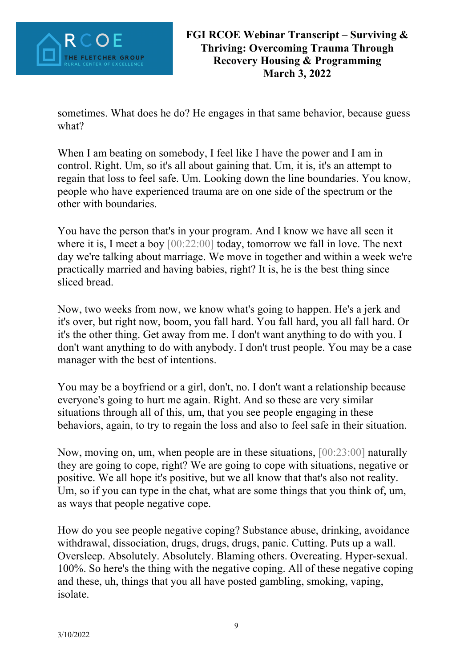

sometimes. What does he do? He engages in that same behavior, because guess what?

When I am beating on somebody, I feel like I have the power and I am in control. Right. Um, so it's all about gaining that. Um, it is, it's an attempt to regain that loss to feel safe. Um. Looking down the line boundaries. You know, people who have experienced trauma are on one side of the spectrum or the other with boundaries.

You have the person that's in your program. And I know we have all seen it where it is, I meet a boy  $[00:22:00]$  today, tomorrow we fall in love. The next day we're talking about marriage. We move in together and within a week we're practically married and having babies, right? It is, he is the best thing since sliced bread.

Now, two weeks from now, we know what's going to happen. He's a jerk and it's over, but right now, boom, you fall hard. You fall hard, you all fall hard. Or it's the other thing. Get away from me. I don't want anything to do with you. I don't want anything to do with anybody. I don't trust people. You may be a case manager with the best of intentions.

You may be a boyfriend or a girl, don't, no. I don't want a relationship because everyone's going to hurt me again. Right. And so these are very similar situations through all of this, um, that you see people engaging in these behaviors, again, to try to regain the loss and also to feel safe in their situation.

Now, moving on, um, when people are in these situations, [00:23:00] naturally they are going to cope, right? We are going to cope with situations, negative or positive. We all hope it's positive, but we all know that that's also not reality. Um, so if you can type in the chat, what are some things that you think of, um, as ways that people negative cope.

How do you see people negative coping? Substance abuse, drinking, avoidance withdrawal, dissociation, drugs, drugs, drugs, panic. Cutting. Puts up a wall. Oversleep. Absolutely. Absolutely. Blaming others. Overeating. Hyper-sexual. 100%. So here's the thing with the negative coping. All of these negative coping and these, uh, things that you all have posted gambling, smoking, vaping, isolate.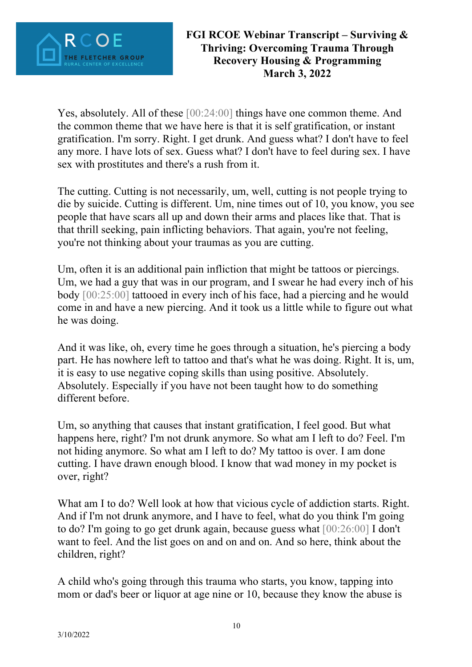

Yes, absolutely. All of these [00:24:00] things have one common theme. And the common theme that we have here is that it is self gratification, or instant gratification. I'm sorry. Right. I get drunk. And guess what? I don't have to feel any more. I have lots of sex. Guess what? I don't have to feel during sex. I have sex with prostitutes and there's a rush from it.

The cutting. Cutting is not necessarily, um, well, cutting is not people trying to die by suicide. Cutting is different. Um, nine times out of 10, you know, you see people that have scars all up and down their arms and places like that. That is that thrill seeking, pain inflicting behaviors. That again, you're not feeling, you're not thinking about your traumas as you are cutting.

Um, often it is an additional pain infliction that might be tattoos or piercings. Um, we had a guy that was in our program, and I swear he had every inch of his body [00:25:00] tattooed in every inch of his face, had a piercing and he would come in and have a new piercing. And it took us a little while to figure out what he was doing.

And it was like, oh, every time he goes through a situation, he's piercing a body part. He has nowhere left to tattoo and that's what he was doing. Right. It is, um, it is easy to use negative coping skills than using positive. Absolutely. Absolutely. Especially if you have not been taught how to do something different before.

Um, so anything that causes that instant gratification, I feel good. But what happens here, right? I'm not drunk anymore. So what am I left to do? Feel. I'm not hiding anymore. So what am I left to do? My tattoo is over. I am done cutting. I have drawn enough blood. I know that wad money in my pocket is over, right?

What am I to do? Well look at how that vicious cycle of addiction starts. Right. And if I'm not drunk anymore, and I have to feel, what do you think I'm going to do? I'm going to go get drunk again, because guess what [00:26:00] I don't want to feel. And the list goes on and on and on. And so here, think about the children, right?

A child who's going through this trauma who starts, you know, tapping into mom or dad's beer or liquor at age nine or 10, because they know the abuse is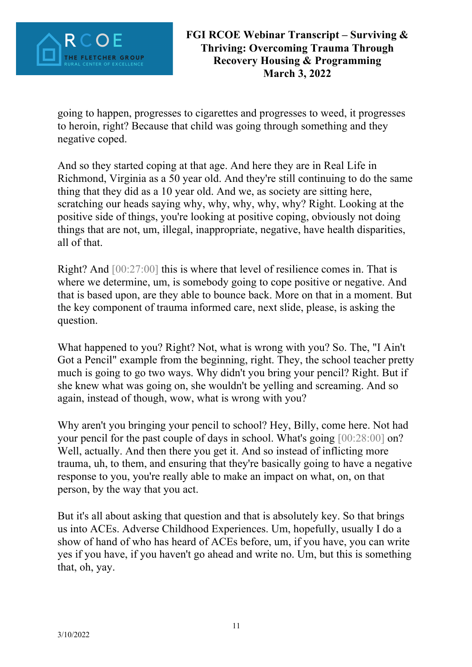

going to happen, progresses to cigarettes and progresses to weed, it progresses to heroin, right? Because that child was going through something and they negative coped.

And so they started coping at that age. And here they are in Real Life in Richmond, Virginia as a 50 year old. And they're still continuing to do the same thing that they did as a 10 year old. And we, as society are sitting here, scratching our heads saying why, why, why, why, why? Right. Looking at the positive side of things, you're looking at positive coping, obviously not doing things that are not, um, illegal, inappropriate, negative, have health disparities, all of that.

Right? And [00:27:00] this is where that level of resilience comes in. That is where we determine, um, is somebody going to cope positive or negative. And that is based upon, are they able to bounce back. More on that in a moment. But the key component of trauma informed care, next slide, please, is asking the question.

What happened to you? Right? Not, what is wrong with you? So. The, "I Ain't Got a Pencil" example from the beginning, right. They, the school teacher pretty much is going to go two ways. Why didn't you bring your pencil? Right. But if she knew what was going on, she wouldn't be yelling and screaming. And so again, instead of though, wow, what is wrong with you?

Why aren't you bringing your pencil to school? Hey, Billy, come here. Not had your pencil for the past couple of days in school. What's going [00:28:00] on? Well, actually. And then there you get it. And so instead of inflicting more trauma, uh, to them, and ensuring that they're basically going to have a negative response to you, you're really able to make an impact on what, on, on that person, by the way that you act.

But it's all about asking that question and that is absolutely key. So that brings us into ACEs. Adverse Childhood Experiences. Um, hopefully, usually I do a show of hand of who has heard of ACEs before, um, if you have, you can write yes if you have, if you haven't go ahead and write no. Um, but this is something that, oh, yay.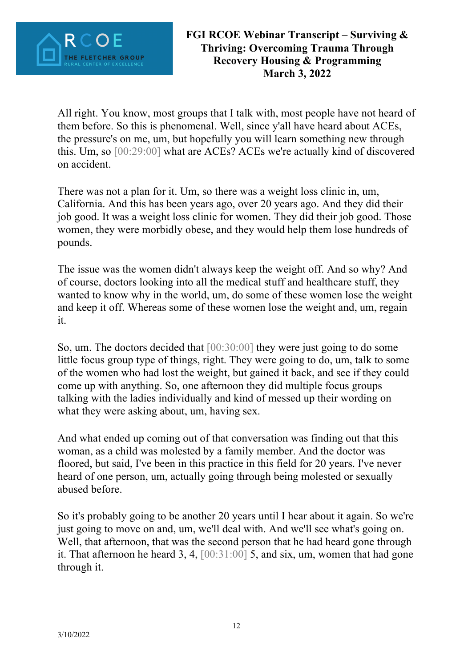

All right. You know, most groups that I talk with, most people have not heard of them before. So this is phenomenal. Well, since y'all have heard about ACEs, the pressure's on me, um, but hopefully you will learn something new through this. Um, so [00:29:00] what are ACEs? ACEs we're actually kind of discovered on accident.

There was not a plan for it. Um, so there was a weight loss clinic in, um, California. And this has been years ago, over 20 years ago. And they did their job good. It was a weight loss clinic for women. They did their job good. Those women, they were morbidly obese, and they would help them lose hundreds of pounds.

The issue was the women didn't always keep the weight off. And so why? And of course, doctors looking into all the medical stuff and healthcare stuff, they wanted to know why in the world, um, do some of these women lose the weight and keep it off. Whereas some of these women lose the weight and, um, regain it.

So, um. The doctors decided that [00:30:00] they were just going to do some little focus group type of things, right. They were going to do, um, talk to some of the women who had lost the weight, but gained it back, and see if they could come up with anything. So, one afternoon they did multiple focus groups talking with the ladies individually and kind of messed up their wording on what they were asking about, um, having sex.

And what ended up coming out of that conversation was finding out that this woman, as a child was molested by a family member. And the doctor was floored, but said, I've been in this practice in this field for 20 years. I've never heard of one person, um, actually going through being molested or sexually abused before.

So it's probably going to be another 20 years until I hear about it again. So we're just going to move on and, um, we'll deal with. And we'll see what's going on. Well, that afternoon, that was the second person that he had heard gone through it. That afternoon he heard 3, 4, [00:31:00] 5, and six, um, women that had gone through it.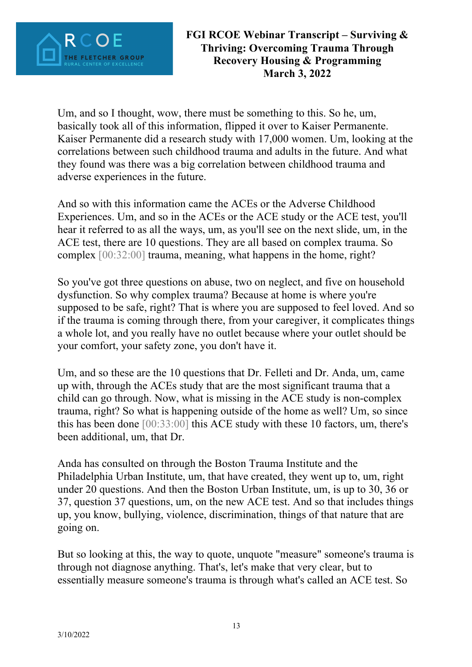

Um, and so I thought, wow, there must be something to this. So he, um, basically took all of this information, flipped it over to Kaiser Permanente. Kaiser Permanente did a research study with 17,000 women. Um, looking at the correlations between such childhood trauma and adults in the future. And what they found was there was a big correlation between childhood trauma and adverse experiences in the future.

And so with this information came the ACEs or the Adverse Childhood Experiences. Um, and so in the ACEs or the ACE study or the ACE test, you'll hear it referred to as all the ways, um, as you'll see on the next slide, um, in the ACE test, there are 10 questions. They are all based on complex trauma. So complex [00:32:00] trauma, meaning, what happens in the home, right?

So you've got three questions on abuse, two on neglect, and five on household dysfunction. So why complex trauma? Because at home is where you're supposed to be safe, right? That is where you are supposed to feel loved. And so if the trauma is coming through there, from your caregiver, it complicates things a whole lot, and you really have no outlet because where your outlet should be your comfort, your safety zone, you don't have it.

Um, and so these are the 10 questions that Dr. Felleti and Dr. Anda, um, came up with, through the ACEs study that are the most significant trauma that a child can go through. Now, what is missing in the ACE study is non-complex trauma, right? So what is happening outside of the home as well? Um, so since this has been done [00:33:00] this ACE study with these 10 factors, um, there's been additional, um, that Dr.

Anda has consulted on through the Boston Trauma Institute and the Philadelphia Urban Institute, um, that have created, they went up to, um, right under 20 questions. And then the Boston Urban Institute, um, is up to 30, 36 or 37, question 37 questions, um, on the new ACE test. And so that includes things up, you know, bullying, violence, discrimination, things of that nature that are going on.

But so looking at this, the way to quote, unquote "measure" someone's trauma is through not diagnose anything. That's, let's make that very clear, but to essentially measure someone's trauma is through what's called an ACE test. So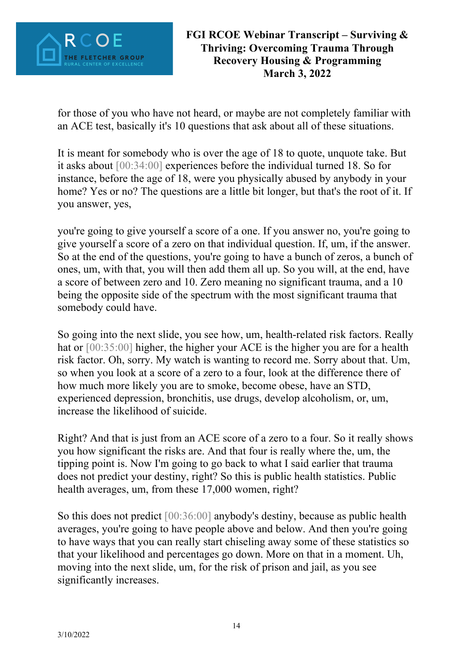

for those of you who have not heard, or maybe are not completely familiar with an ACE test, basically it's 10 questions that ask about all of these situations.

It is meant for somebody who is over the age of 18 to quote, unquote take. But it asks about [00:34:00] experiences before the individual turned 18. So for instance, before the age of 18, were you physically abused by anybody in your home? Yes or no? The questions are a little bit longer, but that's the root of it. If you answer, yes,

you're going to give yourself a score of a one. If you answer no, you're going to give yourself a score of a zero on that individual question. If, um, if the answer. So at the end of the questions, you're going to have a bunch of zeros, a bunch of ones, um, with that, you will then add them all up. So you will, at the end, have a score of between zero and 10. Zero meaning no significant trauma, and a 10 being the opposite side of the spectrum with the most significant trauma that somebody could have.

So going into the next slide, you see how, um, health-related risk factors. Really hat or  $[00:35:00]$  higher, the higher your ACE is the higher you are for a health risk factor. Oh, sorry. My watch is wanting to record me. Sorry about that. Um, so when you look at a score of a zero to a four, look at the difference there of how much more likely you are to smoke, become obese, have an STD, experienced depression, bronchitis, use drugs, develop alcoholism, or, um, increase the likelihood of suicide.

Right? And that is just from an ACE score of a zero to a four. So it really shows you how significant the risks are. And that four is really where the, um, the tipping point is. Now I'm going to go back to what I said earlier that trauma does not predict your destiny, right? So this is public health statistics. Public health averages, um, from these 17,000 women, right?

So this does not predict [00:36:00] anybody's destiny, because as public health averages, you're going to have people above and below. And then you're going to have ways that you can really start chiseling away some of these statistics so that your likelihood and percentages go down. More on that in a moment. Uh, moving into the next slide, um, for the risk of prison and jail, as you see significantly increases.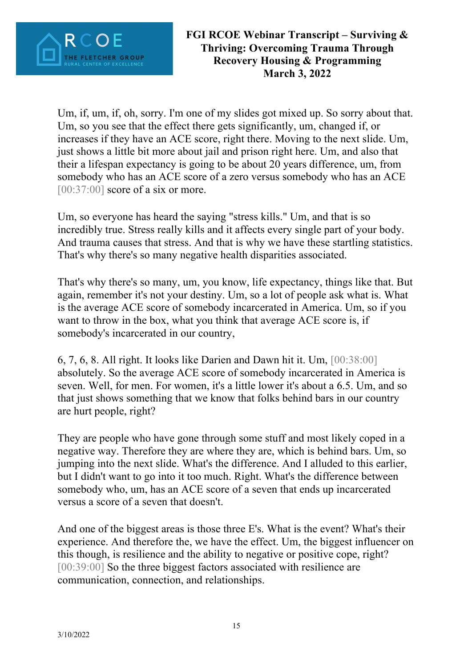

Um, if, um, if, oh, sorry. I'm one of my slides got mixed up. So sorry about that. Um, so you see that the effect there gets significantly, um, changed if, or increases if they have an ACE score, right there. Moving to the next slide. Um, just shows a little bit more about jail and prison right here. Um, and also that their a lifespan expectancy is going to be about 20 years difference, um, from somebody who has an ACE score of a zero versus somebody who has an ACE  $[00:37:00]$  score of a six or more.

Um, so everyone has heard the saying "stress kills." Um, and that is so incredibly true. Stress really kills and it affects every single part of your body. And trauma causes that stress. And that is why we have these startling statistics. That's why there's so many negative health disparities associated.

That's why there's so many, um, you know, life expectancy, things like that. But again, remember it's not your destiny. Um, so a lot of people ask what is. What is the average ACE score of somebody incarcerated in America. Um, so if you want to throw in the box, what you think that average ACE score is, if somebody's incarcerated in our country,

6, 7, 6, 8. All right. It looks like Darien and Dawn hit it. Um, [00:38:00] absolutely. So the average ACE score of somebody incarcerated in America is seven. Well, for men. For women, it's a little lower it's about a 6.5. Um, and so that just shows something that we know that folks behind bars in our country are hurt people, right?

They are people who have gone through some stuff and most likely coped in a negative way. Therefore they are where they are, which is behind bars. Um, so jumping into the next slide. What's the difference. And I alluded to this earlier, but I didn't want to go into it too much. Right. What's the difference between somebody who, um, has an ACE score of a seven that ends up incarcerated versus a score of a seven that doesn't.

And one of the biggest areas is those three E's. What is the event? What's their experience. And therefore the, we have the effect. Um, the biggest influencer on this though, is resilience and the ability to negative or positive cope, right? [00:39:00] So the three biggest factors associated with resilience are communication, connection, and relationships.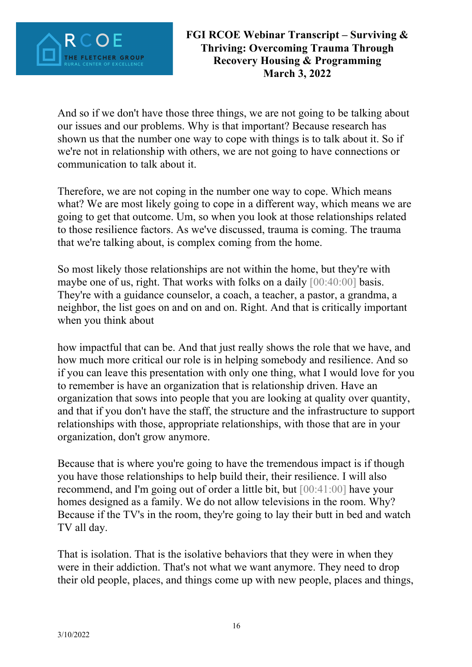

And so if we don't have those three things, we are not going to be talking about our issues and our problems. Why is that important? Because research has shown us that the number one way to cope with things is to talk about it. So if we're not in relationship with others, we are not going to have connections or communication to talk about it.

Therefore, we are not coping in the number one way to cope. Which means what? We are most likely going to cope in a different way, which means we are going to get that outcome. Um, so when you look at those relationships related to those resilience factors. As we've discussed, trauma is coming. The trauma that we're talking about, is complex coming from the home.

So most likely those relationships are not within the home, but they're with maybe one of us, right. That works with folks on a daily [00:40:00] basis. They're with a guidance counselor, a coach, a teacher, a pastor, a grandma, a neighbor, the list goes on and on and on. Right. And that is critically important when you think about

how impactful that can be. And that just really shows the role that we have, and how much more critical our role is in helping somebody and resilience. And so if you can leave this presentation with only one thing, what I would love for you to remember is have an organization that is relationship driven. Have an organization that sows into people that you are looking at quality over quantity, and that if you don't have the staff, the structure and the infrastructure to support relationships with those, appropriate relationships, with those that are in your organization, don't grow anymore.

Because that is where you're going to have the tremendous impact is if though you have those relationships to help build their, their resilience. I will also recommend, and I'm going out of order a little bit, but [00:41:00] have your homes designed as a family. We do not allow televisions in the room. Why? Because if the TV's in the room, they're going to lay their butt in bed and watch TV all day.

That is isolation. That is the isolative behaviors that they were in when they were in their addiction. That's not what we want anymore. They need to drop their old people, places, and things come up with new people, places and things,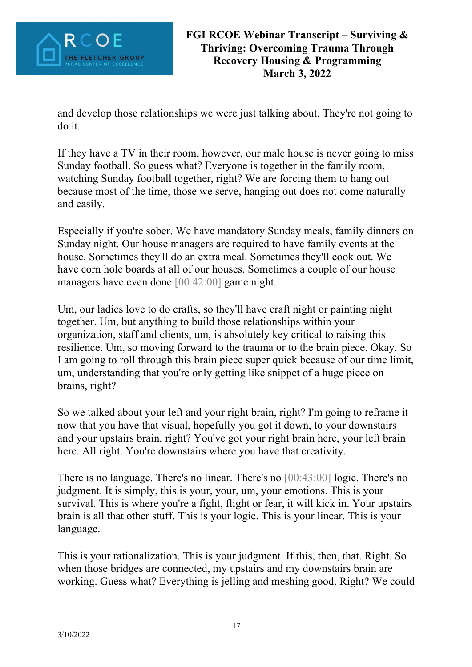

and develop those relationships we were just talking about. They're not going to do it.

If they have a TV in their room, however, our male house is never going to miss Sunday football. So guess what? Everyone is together in the family room, watching Sunday football together, right? We are forcing them to hang out because most of the time, those we serve, hanging out does not come naturally and easily.

Especially if you're sober. We have mandatory Sunday meals, family dinners on Sunday night. Our house managers are required to have family events at the house. Sometimes they'll do an extra meal. Sometimes they'll cook out. We have corn hole boards at all of our houses. Sometimes a couple of our house managers have even done [00:42:00] game night.

Um, our ladies love to do crafts, so they'll have craft night or painting night together. Um, but anything to build those relationships within your organization, staff and clients, um, is absolutely key critical to raising this resilience. Um, so moving forward to the trauma or to the brain piece. Okay. So I am going to roll through this brain piece super quick because of our time limit, um, understanding that you're only getting like snippet of a huge piece on brains, right?

So we talked about your left and your right brain, right? I'm going to reframe it now that you have that visual, hopefully you got it down, to your downstairs and your upstairs brain, right? You've got your right brain here, your left brain here. All right. You're downstairs where you have that creativity.

There is no language. There's no linear. There's no [00:43:00] logic. There's no judgment. It is simply, this is your, your, um, your emotions. This is your survival. This is where you're a fight, flight or fear, it will kick in. Your upstairs brain is all that other stuff. This is your logic. This is your linear. This is your language.

This is your rationalization. This is your judgment. If this, then, that. Right. So when those bridges are connected, my upstairs and my downstairs brain are working. Guess what? Everything is jelling and meshing good. Right? We could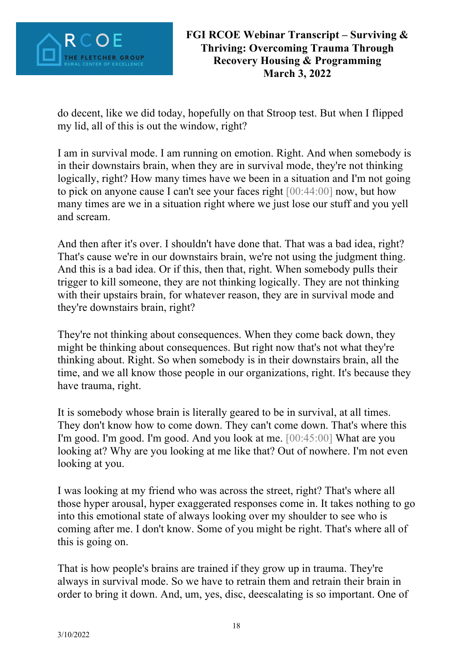

do decent, like we did today, hopefully on that Stroop test. But when I flipped my lid, all of this is out the window, right?

I am in survival mode. I am running on emotion. Right. And when somebody is in their downstairs brain, when they are in survival mode, they're not thinking logically, right? How many times have we been in a situation and I'm not going to pick on anyone cause I can't see your faces right [00:44:00] now, but how many times are we in a situation right where we just lose our stuff and you yell and scream.

And then after it's over. I shouldn't have done that. That was a bad idea, right? That's cause we're in our downstairs brain, we're not using the judgment thing. And this is a bad idea. Or if this, then that, right. When somebody pulls their trigger to kill someone, they are not thinking logically. They are not thinking with their upstairs brain, for whatever reason, they are in survival mode and they're downstairs brain, right?

They're not thinking about consequences. When they come back down, they might be thinking about consequences. But right now that's not what they're thinking about. Right. So when somebody is in their downstairs brain, all the time, and we all know those people in our organizations, right. It's because they have trauma, right.

It is somebody whose brain is literally geared to be in survival, at all times. They don't know how to come down. They can't come down. That's where this I'm good. I'm good. I'm good. And you look at me. [00:45:00] What are you looking at? Why are you looking at me like that? Out of nowhere. I'm not even looking at you.

I was looking at my friend who was across the street, right? That's where all those hyper arousal, hyper exaggerated responses come in. It takes nothing to go into this emotional state of always looking over my shoulder to see who is coming after me. I don't know. Some of you might be right. That's where all of this is going on.

That is how people's brains are trained if they grow up in trauma. They're always in survival mode. So we have to retrain them and retrain their brain in order to bring it down. And, um, yes, disc, deescalating is so important. One of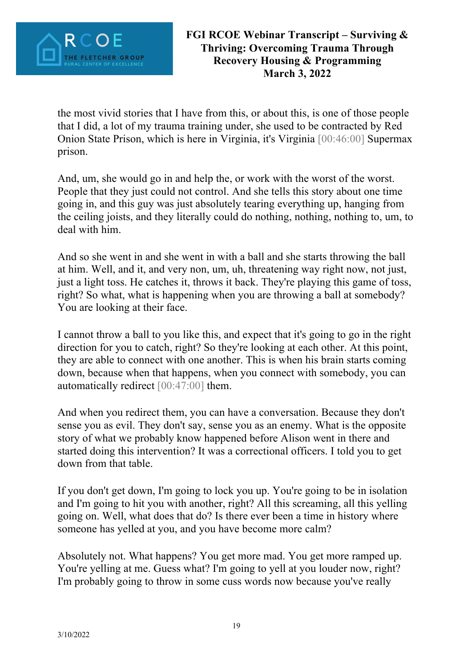

the most vivid stories that I have from this, or about this, is one of those people that I did, a lot of my trauma training under, she used to be contracted by Red Onion State Prison, which is here in Virginia, it's Virginia [00:46:00] Supermax prison.

And, um, she would go in and help the, or work with the worst of the worst. People that they just could not control. And she tells this story about one time going in, and this guy was just absolutely tearing everything up, hanging from the ceiling joists, and they literally could do nothing, nothing, nothing to, um, to deal with him.

And so she went in and she went in with a ball and she starts throwing the ball at him. Well, and it, and very non, um, uh, threatening way right now, not just, just a light toss. He catches it, throws it back. They're playing this game of toss, right? So what, what is happening when you are throwing a ball at somebody? You are looking at their face.

I cannot throw a ball to you like this, and expect that it's going to go in the right direction for you to catch, right? So they're looking at each other. At this point, they are able to connect with one another. This is when his brain starts coming down, because when that happens, when you connect with somebody, you can automatically redirect [00:47:00] them.

And when you redirect them, you can have a conversation. Because they don't sense you as evil. They don't say, sense you as an enemy. What is the opposite story of what we probably know happened before Alison went in there and started doing this intervention? It was a correctional officers. I told you to get down from that table.

If you don't get down, I'm going to lock you up. You're going to be in isolation and I'm going to hit you with another, right? All this screaming, all this yelling going on. Well, what does that do? Is there ever been a time in history where someone has yelled at you, and you have become more calm?

Absolutely not. What happens? You get more mad. You get more ramped up. You're yelling at me. Guess what? I'm going to yell at you louder now, right? I'm probably going to throw in some cuss words now because you've really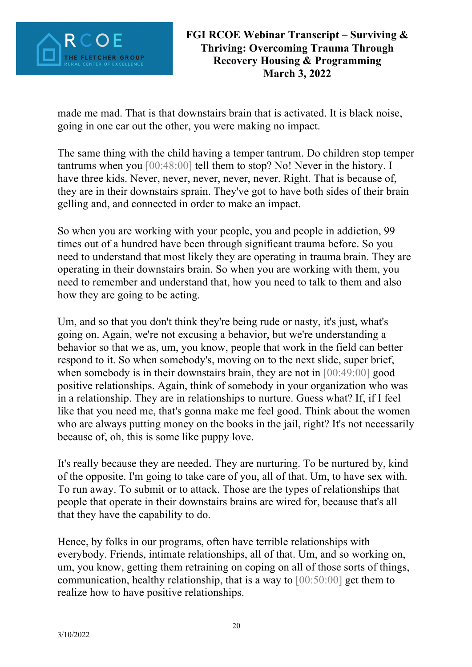

made me mad. That is that downstairs brain that is activated. It is black noise, going in one ear out the other, you were making no impact.

The same thing with the child having a temper tantrum. Do children stop temper tantrums when you [00:48:00] tell them to stop? No! Never in the history. I have three kids. Never, never, never, never, never. Right. That is because of, they are in their downstairs sprain. They've got to have both sides of their brain gelling and, and connected in order to make an impact.

So when you are working with your people, you and people in addiction, 99 times out of a hundred have been through significant trauma before. So you need to understand that most likely they are operating in trauma brain. They are operating in their downstairs brain. So when you are working with them, you need to remember and understand that, how you need to talk to them and also how they are going to be acting.

Um, and so that you don't think they're being rude or nasty, it's just, what's going on. Again, we're not excusing a behavior, but we're understanding a behavior so that we as, um, you know, people that work in the field can better respond to it. So when somebody's, moving on to the next slide, super brief, when somebody is in their downstairs brain, they are not in [00:49:00] good positive relationships. Again, think of somebody in your organization who was in a relationship. They are in relationships to nurture. Guess what? If, if I feel like that you need me, that's gonna make me feel good. Think about the women who are always putting money on the books in the jail, right? It's not necessarily because of, oh, this is some like puppy love.

It's really because they are needed. They are nurturing. To be nurtured by, kind of the opposite. I'm going to take care of you, all of that. Um, to have sex with. To run away. To submit or to attack. Those are the types of relationships that people that operate in their downstairs brains are wired for, because that's all that they have the capability to do.

Hence, by folks in our programs, often have terrible relationships with everybody. Friends, intimate relationships, all of that. Um, and so working on, um, you know, getting them retraining on coping on all of those sorts of things, communication, healthy relationship, that is a way to  $[00:50:00]$  get them to realize how to have positive relationships.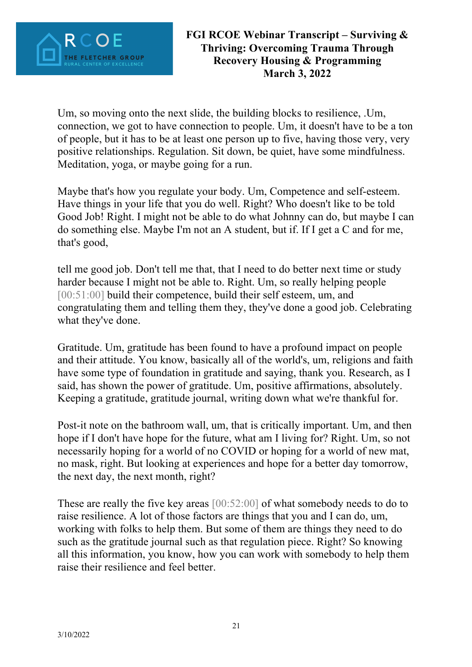

Um, so moving onto the next slide, the building blocks to resilience, .Um, connection, we got to have connection to people. Um, it doesn't have to be a ton of people, but it has to be at least one person up to five, having those very, very positive relationships. Regulation. Sit down, be quiet, have some mindfulness. Meditation, yoga, or maybe going for a run.

Maybe that's how you regulate your body. Um, Competence and self-esteem. Have things in your life that you do well. Right? Who doesn't like to be told Good Job! Right. I might not be able to do what Johnny can do, but maybe I can do something else. Maybe I'm not an A student, but if. If I get a C and for me, that's good,

tell me good job. Don't tell me that, that I need to do better next time or study harder because I might not be able to. Right. Um, so really helping people [00:51:00] build their competence, build their self esteem, um, and congratulating them and telling them they, they've done a good job. Celebrating what they've done.

Gratitude. Um, gratitude has been found to have a profound impact on people and their attitude. You know, basically all of the world's, um, religions and faith have some type of foundation in gratitude and saying, thank you. Research, as I said, has shown the power of gratitude. Um, positive affirmations, absolutely. Keeping a gratitude, gratitude journal, writing down what we're thankful for.

Post-it note on the bathroom wall, um, that is critically important. Um, and then hope if I don't have hope for the future, what am I living for? Right. Um, so not necessarily hoping for a world of no COVID or hoping for a world of new mat, no mask, right. But looking at experiences and hope for a better day tomorrow, the next day, the next month, right?

These are really the five key areas [00:52:00] of what somebody needs to do to raise resilience. A lot of those factors are things that you and I can do, um, working with folks to help them. But some of them are things they need to do such as the gratitude journal such as that regulation piece. Right? So knowing all this information, you know, how you can work with somebody to help them raise their resilience and feel better.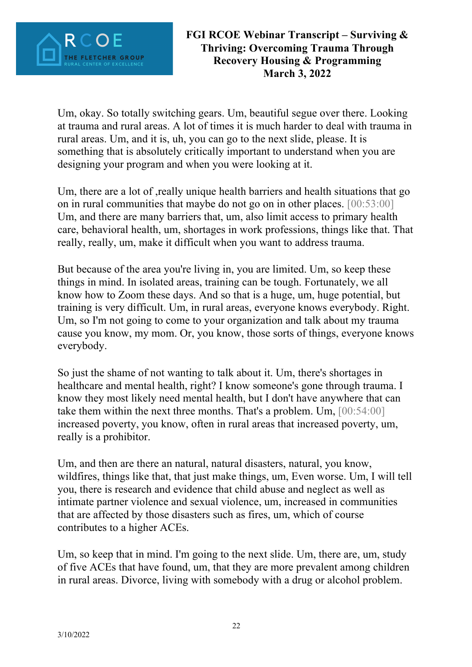

Um, okay. So totally switching gears. Um, beautiful segue over there. Looking at trauma and rural areas. A lot of times it is much harder to deal with trauma in rural areas. Um, and it is, uh, you can go to the next slide, please. It is something that is absolutely critically important to understand when you are designing your program and when you were looking at it.

Um, there are a lot of ,really unique health barriers and health situations that go on in rural communities that maybe do not go on in other places. [00:53:00] Um, and there are many barriers that, um, also limit access to primary health care, behavioral health, um, shortages in work professions, things like that. That really, really, um, make it difficult when you want to address trauma.

But because of the area you're living in, you are limited. Um, so keep these things in mind. In isolated areas, training can be tough. Fortunately, we all know how to Zoom these days. And so that is a huge, um, huge potential, but training is very difficult. Um, in rural areas, everyone knows everybody. Right. Um, so I'm not going to come to your organization and talk about my trauma cause you know, my mom. Or, you know, those sorts of things, everyone knows everybody.

So just the shame of not wanting to talk about it. Um, there's shortages in healthcare and mental health, right? I know someone's gone through trauma. I know they most likely need mental health, but I don't have anywhere that can take them within the next three months. That's a problem. Um, [00:54:00] increased poverty, you know, often in rural areas that increased poverty, um, really is a prohibitor.

Um, and then are there an natural, natural disasters, natural, you know, wildfires, things like that, that just make things, um, Even worse. Um, I will tell you, there is research and evidence that child abuse and neglect as well as intimate partner violence and sexual violence, um, increased in communities that are affected by those disasters such as fires, um, which of course contributes to a higher ACEs.

Um, so keep that in mind. I'm going to the next slide. Um, there are, um, study of five ACEs that have found, um, that they are more prevalent among children in rural areas. Divorce, living with somebody with a drug or alcohol problem.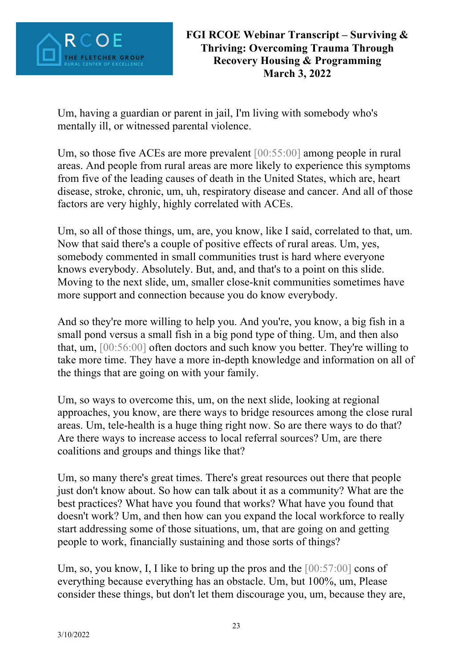

Um, having a guardian or parent in jail, I'm living with somebody who's mentally ill, or witnessed parental violence.

Um, so those five ACEs are more prevalent [00:55:00] among people in rural areas. And people from rural areas are more likely to experience this symptoms from five of the leading causes of death in the United States, which are, heart disease, stroke, chronic, um, uh, respiratory disease and cancer. And all of those factors are very highly, highly correlated with ACEs.

Um, so all of those things, um, are, you know, like I said, correlated to that, um. Now that said there's a couple of positive effects of rural areas. Um, yes, somebody commented in small communities trust is hard where everyone knows everybody. Absolutely. But, and, and that's to a point on this slide. Moving to the next slide, um, smaller close-knit communities sometimes have more support and connection because you do know everybody.

And so they're more willing to help you. And you're, you know, a big fish in a small pond versus a small fish in a big pond type of thing. Um, and then also that, um, [00:56:00] often doctors and such know you better. They're willing to take more time. They have a more in-depth knowledge and information on all of the things that are going on with your family.

Um, so ways to overcome this, um, on the next slide, looking at regional approaches, you know, are there ways to bridge resources among the close rural areas. Um, tele-health is a huge thing right now. So are there ways to do that? Are there ways to increase access to local referral sources? Um, are there coalitions and groups and things like that?

Um, so many there's great times. There's great resources out there that people just don't know about. So how can talk about it as a community? What are the best practices? What have you found that works? What have you found that doesn't work? Um, and then how can you expand the local workforce to really start addressing some of those situations, um, that are going on and getting people to work, financially sustaining and those sorts of things?

Um, so, you know, I, I like to bring up the pros and the  $[00:57:00]$  cons of everything because everything has an obstacle. Um, but 100%, um, Please consider these things, but don't let them discourage you, um, because they are,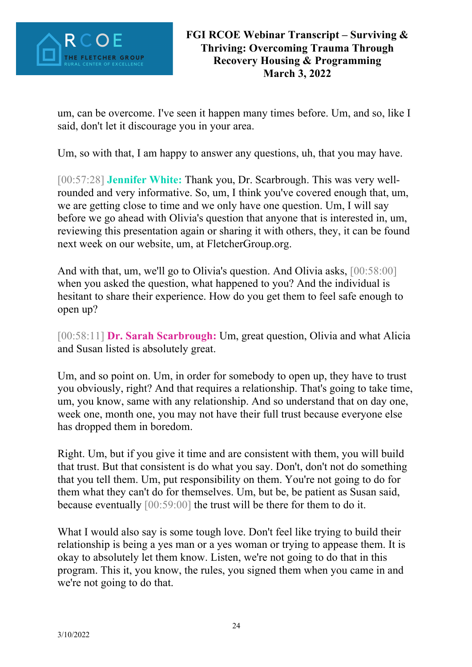

um, can be overcome. I've seen it happen many times before. Um, and so, like I said, don't let it discourage you in your area.

Um, so with that, I am happy to answer any questions, uh, that you may have.

[00:57:28] **Jennifer White:** Thank you, Dr. Scarbrough. This was very wellrounded and very informative. So, um, I think you've covered enough that, um, we are getting close to time and we only have one question. Um, I will say before we go ahead with Olivia's question that anyone that is interested in, um, reviewing this presentation again or sharing it with others, they, it can be found next week on our website, um, at FletcherGroup.org.

And with that, um, we'll go to Olivia's question. And Olivia asks, [00:58:00] when you asked the question, what happened to you? And the individual is hesitant to share their experience. How do you get them to feel safe enough to open up?

[00:58:11] **Dr. Sarah Scarbrough:** Um, great question, Olivia and what Alicia and Susan listed is absolutely great.

Um, and so point on. Um, in order for somebody to open up, they have to trust you obviously, right? And that requires a relationship. That's going to take time, um, you know, same with any relationship. And so understand that on day one, week one, month one, you may not have their full trust because everyone else has dropped them in boredom.

Right. Um, but if you give it time and are consistent with them, you will build that trust. But that consistent is do what you say. Don't, don't not do something that you tell them. Um, put responsibility on them. You're not going to do for them what they can't do for themselves. Um, but be, be patient as Susan said, because eventually [00:59:00] the trust will be there for them to do it.

What I would also say is some tough love. Don't feel like trying to build their relationship is being a yes man or a yes woman or trying to appease them. It is okay to absolutely let them know. Listen, we're not going to do that in this program. This it, you know, the rules, you signed them when you came in and we're not going to do that.